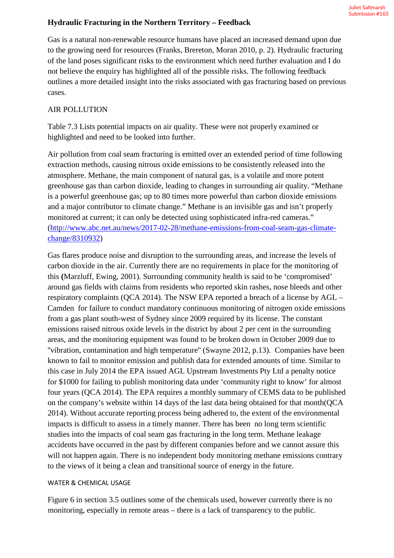## **Hydraulic Fracturing in the Northern Territory – Feedback**

Gas is a natural non-renewable resource humans have placed an increased demand upon due to the growing need for resources (Franks, Brereton, Moran 2010, p. 2). Hydraulic fracturing of the land poses significant risks to the environment which need further evaluation and I do not believe the enquiry has highlighted all of the possible risks. The following feedback outlines a more detailed insight into the risks associated with gas fracturing based on previous cases.

## AIR POLLUTION

Table 7.3 Lists potential impacts on air quality. These were not properly examined or highlighted and need to be looked into further.

Air pollution from coal seam fracturing is emitted over an extended period of time following extraction methods, causing nitrous oxide emissions to be consistently released into the atmosphere. Methane, the main component of natural gas, is a volatile and more potent greenhouse gas than carbon dioxide, leading to changes in surrounding air quality. "Methane is a powerful greenhouse gas; up to 80 times more powerful than carbon dioxide emissions and a major contributor to climate change." Methane is an invisible gas and isn't properly monitored at current; it can only be detected using sophisticated infra-red cameras." (http://www.abc.net.au/news/2017-02-28/methane-emissions-from-coal-seam-gas-climatechange/8310932)

Gas flares produce noise and disruption to the surrounding areas, and increase the levels of carbon dioxide in the air. Currently there are no requirements in place for the monitoring of this **(**Marzluff, Ewing, 2001). Surrounding community health is said to be 'compromised' around gas fields with claims from residents who reported skin rashes, nose bleeds and other respiratory complaints (QCA 2014). The NSW EPA reported a breach of a license by AGL – Camden for failure to conduct mandatory continuous monitoring of nitrogen oxide emissions from a gas plant south-west of Sydney since 2009 required by its license. The constant emissions raised nitrous oxide levels in the district by about 2 per cent in the surrounding areas, and the monitoring equipment was found to be broken down in October 2009 due to ''vibration, contamination and high temperature'' (Swayne 2012, p.13). Companies have been known to fail to monitor emission and publish data for extended amounts of time. Similar to this case in July 2014 the EPA issued AGL Upstream Investments Pty Ltd a penalty notice for \$1000 for failing to publish monitoring data under 'community right to know' for almost four years (QCA 2014). The EPA requires a monthly summary of CEMS data to be published on the company's website within 14 days of the last data being obtained for that month(QCA 2014). Without accurate reporting process being adhered to, the extent of the environmental impacts is difficult to assess in a timely manner. There has been no long term scientific studies into the impacts of coal seam gas fracturing in the long term. Methane leakage accidents have occurred in the past by different companies before and we cannot assure this will not happen again. There is no independent body monitoring methane emissions contrary to the views of it being a clean and transitional source of energy in the future.

## WATER & CHEMICAL USAGE

Figure 6 in section 3.5 outlines some of the chemicals used, however currently there is no monitoring, especially in remote areas – there is a lack of transparency to the public.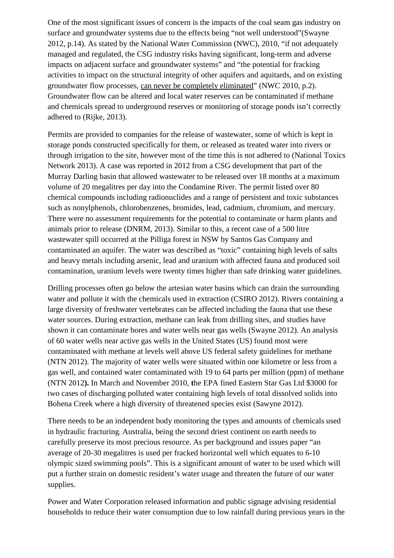One of the most significant issues of concern is the impacts of the coal seam gas industry on surface and groundwater systems due to the effects being "not well understood"(Swayne 2012, p.14). As stated by the National Water Commission (NWC), 2010, "if not adequately managed and regulated, the CSG industry risks having significant, long-term and adverse impacts on adjacent surface and groundwater systems" and "the potential for fracking activities to impact on the structural integrity of other aquifers and aquitards, and on existing groundwater flow processes, can never be completely eliminated" (NWC 2010, p.2). Groundwater flow can be altered and local water reserves can be contaminated if methane and chemicals spread to underground reserves or monitoring of storage ponds isn't correctly adhered to (Rijke, 2013).

Permits are provided to companies for the release of wastewater, some of which is kept in storage ponds constructed specifically for them, or released as treated water into rivers or through irrigation to the site, however most of the time this is not adhered to (National Toxics Network 2013). A case was reported in 2012 from a CSG development that part of the Murray Darling basin that allowed wastewater to be released over 18 months at a maximum volume of 20 megalitres per day into the Condamine River. The permit listed over 80 chemical compounds including radionuclides and a range of persistent and toxic substances such as nonylphenols, chlorobenzenes, bromides, lead, cadmium, chromium, and mercury. There were no assessment requirements for the potential to contaminate or harm plants and animals prior to release (DNRM, 2013). Similar to this, a recent case of a 500 litre wastewater spill occurred at the Pilliga forest in NSW by Santos Gas Company and contaminated an aquifer. The water was described as "toxic" containing high levels of salts and heavy metals including arsenic, lead and uranium with affected fauna and produced soil contamination, uranium levels were twenty times higher than safe drinking water guidelines.

Drilling processes often go below the artesian water basins which can drain the surrounding water and pollute it with the chemicals used in extraction (CSIRO 2012). Rivers containing a large diversity of freshwater vertebrates can be affected including the fauna that use these water sources. During extraction, methane can leak from drilling sites, and studies have shown it can contaminate bores and water wells near gas wells (Swayne 2012). An analysis of 60 water wells near active gas wells in the United States (US) found most were contaminated with methane at levels well above US federal safety guidelines for methane (NTN 2012). The majority of water wells were situated within one kilometre or less from a gas well, and contained water contaminated with 19 to 64 parts per million (ppm) of methane (NTN 2012**).** In March and November 2010, **t**he EPA fined Eastern Star Gas Ltd \$3000 for two cases of discharging polluted water containing high levels of total dissolved solids into Bohena Creek where a high diversity of threatened species exist (Sawyne 2012).

There needs to be an independent body monitoring the types and amounts of chemicals used in hydraulic fracturing. Australia, being the second driest continent on earth needs to carefully preserve its most precious resource. As per background and issues paper "an average of 20-30 megalitres is used per fracked horizontal well which equates to 6-10 olympic sized swimming pools". This is a significant amount of water to be used which will put a further strain on domestic resident's water usage and threaten the future of our water supplies.

Power and Water Corporation released information and public signage advising residential households to reduce their water consumption due to low rainfall during previous years in the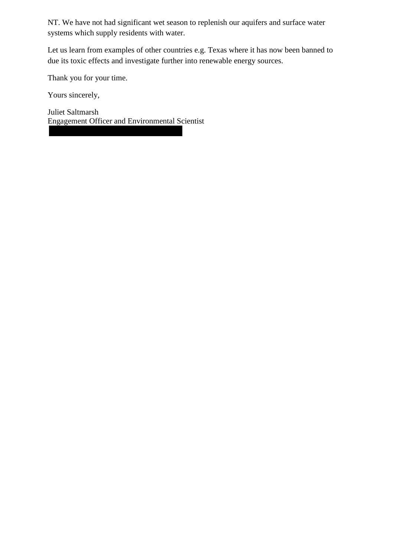NT. We have not had significant wet season to replenish our aquifers and surface water systems which supply residents with water.

Let us learn from examples of other countries e.g. Texas where it has now been banned to due its toxic effects and investigate further into renewable energy sources.

Thank you for your time.

Yours sincerely,

Juliet Saltmarsh Engagement Officer and Environmental Scientist